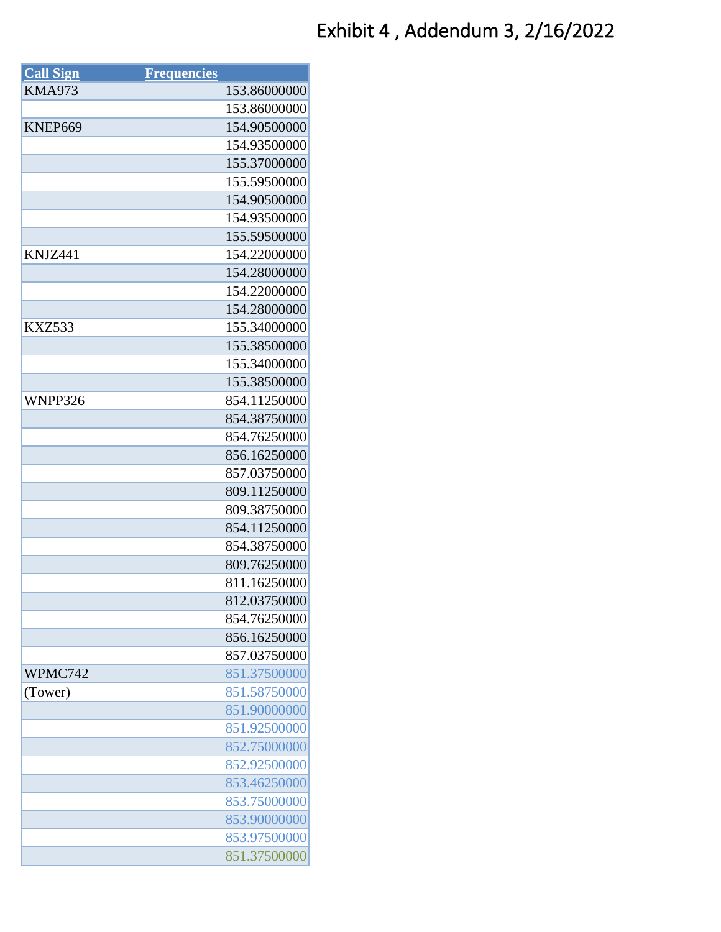## Exhibit 4 , Addendum 3, 2/16/2022

| <b>Call Sign</b> | <b>Frequencies</b> |              |
|------------------|--------------------|--------------|
| <b>KMA973</b>    |                    | 153.86000000 |
|                  |                    | 153.86000000 |
| KNEP669          |                    | 154.90500000 |
|                  |                    | 154.93500000 |
|                  |                    | 155.37000000 |
|                  |                    | 155.59500000 |
|                  |                    | 154.90500000 |
|                  |                    | 154.93500000 |
|                  |                    | 155.59500000 |
| KNJZ441          |                    | 154.22000000 |
|                  |                    | 154.28000000 |
|                  |                    | 154.22000000 |
|                  |                    | 154.28000000 |
| <b>KXZ533</b>    |                    | 155.34000000 |
|                  |                    | 155.38500000 |
|                  |                    | 155.34000000 |
|                  |                    | 155.38500000 |
| WNPP326          |                    | 854.11250000 |
|                  |                    | 854.38750000 |
|                  |                    | 854.76250000 |
|                  |                    | 856.16250000 |
|                  |                    | 857.03750000 |
|                  |                    | 809.11250000 |
|                  |                    | 809.38750000 |
|                  |                    | 854.11250000 |
|                  |                    | 854.38750000 |
|                  |                    | 809.76250000 |
|                  |                    | 811.16250000 |
|                  |                    | 812.03750000 |
|                  |                    | 854.76250000 |
|                  |                    | 856.16250000 |
|                  |                    | 857.03750000 |
| WPMC742          |                    | 851.37500000 |
| (Tower)          |                    | 851.58750000 |
|                  |                    | 851.90000000 |
|                  |                    | 851.92500000 |
|                  |                    | 852.75000000 |
|                  |                    | 852.92500000 |
|                  |                    | 853.46250000 |
|                  |                    | 853.75000000 |
|                  |                    | 853.90000000 |
|                  |                    | 853.97500000 |
|                  |                    | 851.37500000 |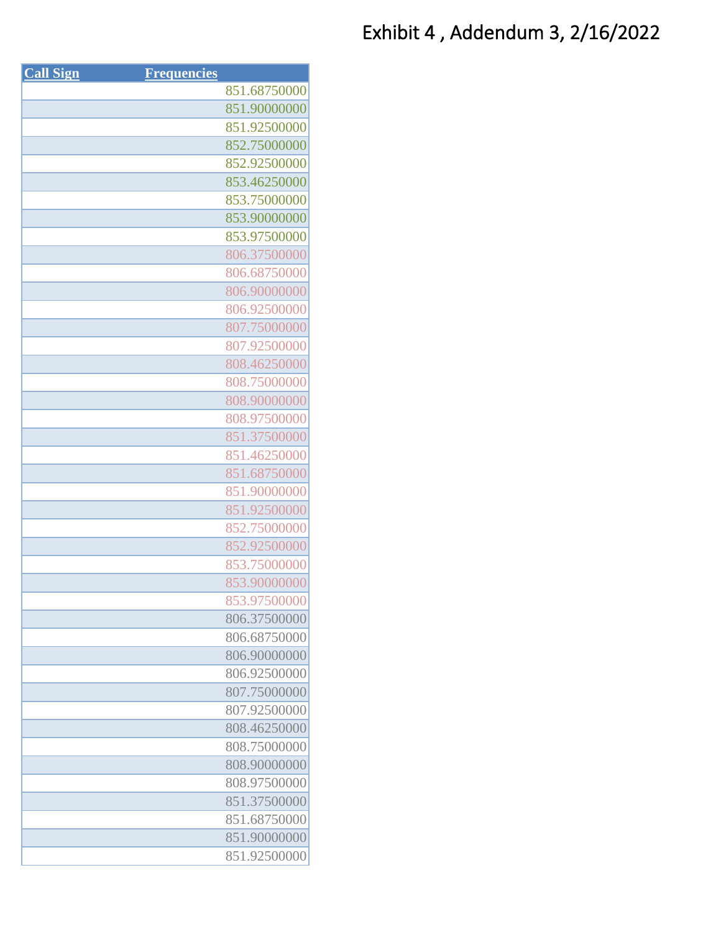| <b>Call Sign</b> | <b>Frequencies</b> |              |
|------------------|--------------------|--------------|
|                  |                    | 851.68750000 |
|                  |                    | 851.90000000 |
|                  |                    | 851.92500000 |
|                  |                    | 852.75000000 |
|                  |                    | 852.92500000 |
|                  |                    | 853.46250000 |
|                  |                    | 853.75000000 |
|                  |                    | 853.90000000 |
|                  |                    | 853.97500000 |
|                  |                    | 806.37500000 |
|                  |                    | 806.68750000 |
|                  |                    | 806.90000000 |
|                  |                    | 806.92500000 |
|                  |                    | 807.75000000 |
|                  |                    | 807.92500000 |
|                  |                    | 808.46250000 |
|                  |                    | 808.75000000 |
|                  |                    | 808.90000000 |
|                  |                    | 808.97500000 |
|                  |                    | 851.37500000 |
|                  |                    | 851.46250000 |
|                  |                    | 851.68750000 |
|                  |                    | 851.90000000 |
|                  |                    | 851.92500000 |
|                  |                    | 852.75000000 |
|                  |                    | 852.92500000 |
|                  |                    | 853.75000000 |
|                  |                    | 853.90000000 |
|                  |                    | 853.97500000 |
|                  |                    | 806.37500000 |
|                  |                    | 806.68750000 |
|                  |                    | 806.90000000 |
|                  |                    | 806.92500000 |
|                  |                    | 807.75000000 |
|                  |                    | 807.92500000 |
|                  |                    | 808.46250000 |
|                  |                    | 808.75000000 |
|                  |                    | 808.90000000 |
|                  |                    | 808.97500000 |
|                  |                    | 851.37500000 |
|                  |                    | 851.68750000 |
|                  |                    | 851.90000000 |
|                  |                    | 851.92500000 |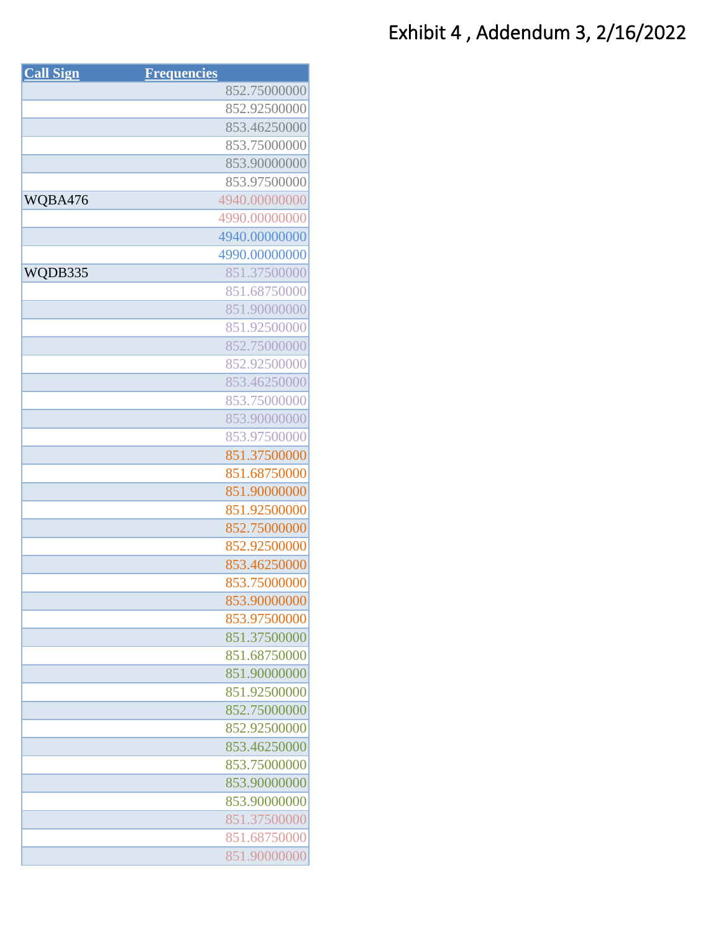## Exhibit 4 , Addendum 3, 2/16/2022

| 852.75000000<br>852.92500000<br>853.46250000<br>853.75000000<br>853.90000000<br>853.97500000<br>WQBA476<br>4940.00000000<br>4990.00000000<br>4940.00000000<br>4990.00000000<br>WQDB335<br>851.37500000<br>851.68750000<br>851.90000000<br>851.92500000<br>852.75000000<br>852.92500000<br>853.46250000 |
|--------------------------------------------------------------------------------------------------------------------------------------------------------------------------------------------------------------------------------------------------------------------------------------------------------|
|                                                                                                                                                                                                                                                                                                        |
|                                                                                                                                                                                                                                                                                                        |
|                                                                                                                                                                                                                                                                                                        |
|                                                                                                                                                                                                                                                                                                        |
|                                                                                                                                                                                                                                                                                                        |
|                                                                                                                                                                                                                                                                                                        |
|                                                                                                                                                                                                                                                                                                        |
|                                                                                                                                                                                                                                                                                                        |
|                                                                                                                                                                                                                                                                                                        |
|                                                                                                                                                                                                                                                                                                        |
|                                                                                                                                                                                                                                                                                                        |
|                                                                                                                                                                                                                                                                                                        |
|                                                                                                                                                                                                                                                                                                        |
|                                                                                                                                                                                                                                                                                                        |
|                                                                                                                                                                                                                                                                                                        |
|                                                                                                                                                                                                                                                                                                        |
|                                                                                                                                                                                                                                                                                                        |
| 853.75000000                                                                                                                                                                                                                                                                                           |
| 853.90000000                                                                                                                                                                                                                                                                                           |
| 853.97500000                                                                                                                                                                                                                                                                                           |
| 851.37500000                                                                                                                                                                                                                                                                                           |
| 851.68750000                                                                                                                                                                                                                                                                                           |
| 851.90000000                                                                                                                                                                                                                                                                                           |
| 851.92500000                                                                                                                                                                                                                                                                                           |
| 852.75000000                                                                                                                                                                                                                                                                                           |
| 852.92500000                                                                                                                                                                                                                                                                                           |
| 853.46250000                                                                                                                                                                                                                                                                                           |
| 853.75000000                                                                                                                                                                                                                                                                                           |
| 853.90000000                                                                                                                                                                                                                                                                                           |
| 853.97500000                                                                                                                                                                                                                                                                                           |
| 851.37500000                                                                                                                                                                                                                                                                                           |
| 851.68750000                                                                                                                                                                                                                                                                                           |
| 851.90000000                                                                                                                                                                                                                                                                                           |
| 851.92500000                                                                                                                                                                                                                                                                                           |
| 852.75000000                                                                                                                                                                                                                                                                                           |
| 852.92500000                                                                                                                                                                                                                                                                                           |
| 853.46250000                                                                                                                                                                                                                                                                                           |
| 853.75000000                                                                                                                                                                                                                                                                                           |
| 853.90000000                                                                                                                                                                                                                                                                                           |
| 853.90000000                                                                                                                                                                                                                                                                                           |
| 851.37500000                                                                                                                                                                                                                                                                                           |
| 851.68750000                                                                                                                                                                                                                                                                                           |
| 851.90000000                                                                                                                                                                                                                                                                                           |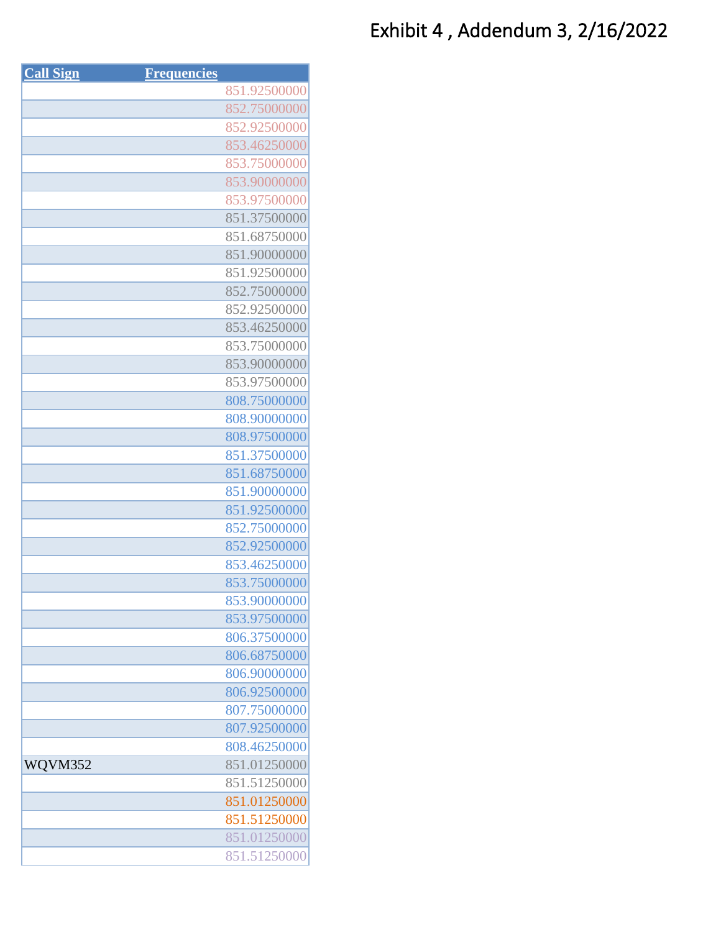| <b>Call Sign</b> | <b>Frequencies</b> |              |
|------------------|--------------------|--------------|
|                  |                    | 851.92500000 |
|                  |                    | 852.75000000 |
|                  |                    | 852.92500000 |
|                  |                    | 853.46250000 |
|                  |                    | 853.75000000 |
|                  |                    | 853.90000000 |
|                  |                    | 853.97500000 |
|                  |                    | 851.37500000 |
|                  |                    | 851.68750000 |
|                  |                    | 851.90000000 |
|                  |                    | 851.92500000 |
|                  |                    | 852.75000000 |
|                  |                    | 852.92500000 |
|                  |                    | 853.46250000 |
|                  |                    | 853.75000000 |
|                  |                    | 853.90000000 |
|                  |                    | 853.97500000 |
|                  |                    | 808.75000000 |
|                  |                    | 808.90000000 |
|                  |                    | 808.97500000 |
|                  |                    | 851.37500000 |
|                  |                    | 851.68750000 |
|                  |                    | 851.90000000 |
|                  |                    | 851.92500000 |
|                  |                    | 852.75000000 |
|                  |                    | 852.92500000 |
|                  |                    | 853.46250000 |
|                  |                    | 853.75000000 |
|                  |                    | 853.90000000 |
|                  |                    | 853.97500000 |
|                  |                    | 806.37500000 |
|                  |                    | 806.68750000 |
|                  |                    | 806.90000000 |
|                  |                    | 806.92500000 |
|                  |                    | 807.75000000 |
|                  |                    | 807.92500000 |
|                  |                    | 808.46250000 |
| WQVM352          |                    | 851.01250000 |
|                  |                    | 851.51250000 |
|                  |                    | 851.01250000 |
|                  |                    | 851.51250000 |
|                  |                    | 851.01250000 |
|                  |                    | 851.51250000 |